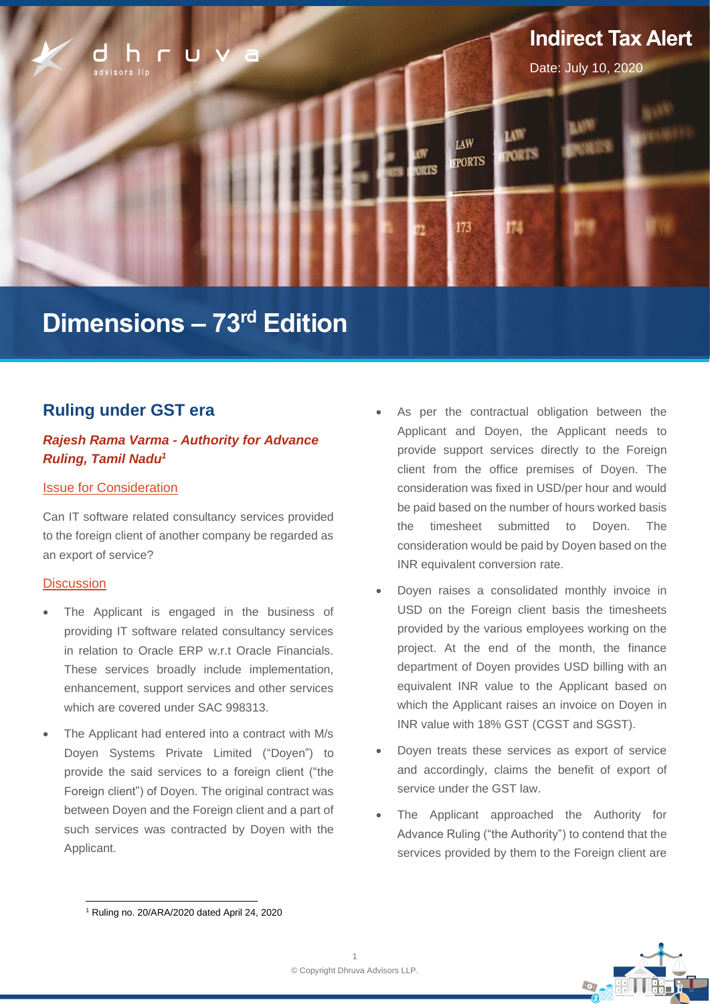

# **Dimensions – 73 rd Edition**

# **Ruling under GST era**

# *Rajesh Rama Varma - Authority for Advance Ruling, Tamil Nadu<sup>1</sup>*

## Issue for Consideration

Can IT software related consultancy services provided to the foreign client of another company be regarded as an export of service?

## **Discussion**

- The Applicant is engaged in the business of providing IT software related consultancy services in relation to Oracle ERP w.r.t Oracle Financials. These services broadly include implementation, enhancement, support services and other services which are covered under SAC 998313.
- The Applicant had entered into a contract with M/s Doyen Systems Private Limited ("Doyen") to provide the said services to a foreign client ("the Foreign client") of Doyen. The original contract was between Doyen and the Foreign client and a part of such services was contracted by Doyen with the Applicant.
- As per the contractual obligation between the Applicant and Doyen, the Applicant needs to provide support services directly to the Foreign client from the office premises of Doyen. The consideration was fixed in USD/per hour and would be paid based on the number of hours worked basis the timesheet submitted to Doyen. The consideration would be paid by Doyen based on the INR equivalent conversion rate.
- Doyen raises a consolidated monthly invoice in USD on the Foreign client basis the timesheets provided by the various employees working on the project. At the end of the month, the finance department of Doyen provides USD billing with an equivalent INR value to the Applicant based on which the Applicant raises an invoice on Doyen in INR value with 18% GST (CGST and SGST).
- Doyen treats these services as export of service and accordingly, claims the benefit of export of service under the GST law.
- The Applicant approached the Authority for Advance Ruling ("the Authority") to contend that the services provided by them to the Foreign client are



<sup>1</sup> Ruling no. 20/ARA/2020 dated April 24, 2020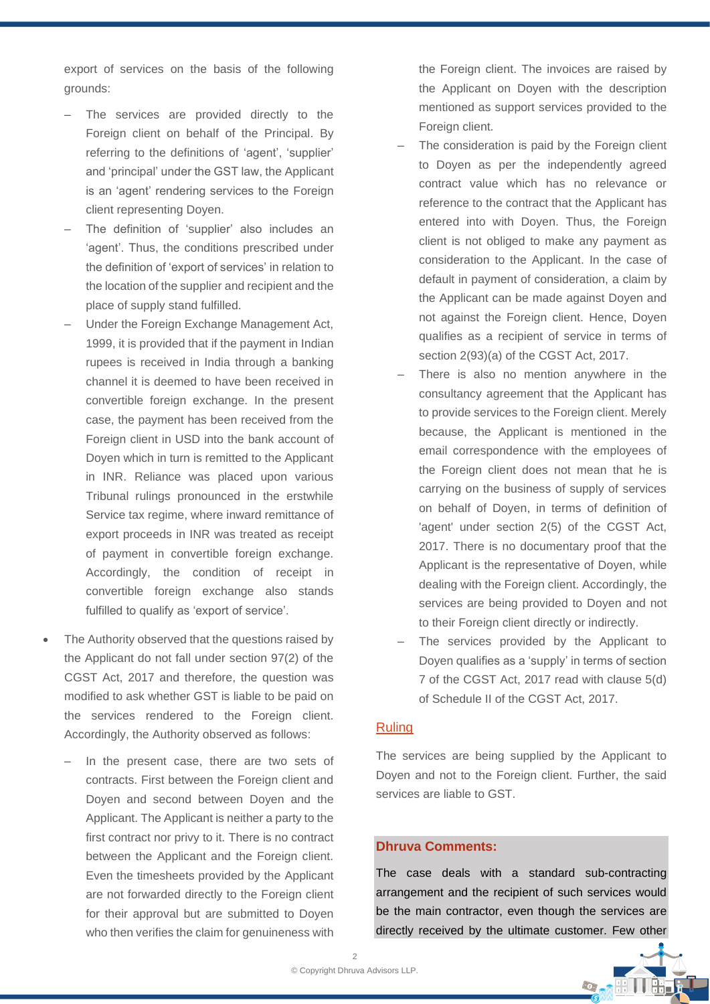export of services on the basis of the following grounds:

- The services are provided directly to the Foreign client on behalf of the Principal. By referring to the definitions of 'agent', 'supplier' and 'principal' under the GST law, the Applicant is an 'agent' rendering services to the Foreign client representing Doyen.
- ‒ The definition of 'supplier' also includes an 'agent'. Thus, the conditions prescribed under the definition of 'export of services' in relation to the location of the supplier and recipient and the place of supply stand fulfilled.
- ‒ Under the Foreign Exchange Management Act, 1999, it is provided that if the payment in Indian rupees is received in India through a banking channel it is deemed to have been received in convertible foreign exchange. In the present case, the payment has been received from the Foreign client in USD into the bank account of Doyen which in turn is remitted to the Applicant in INR. Reliance was placed upon various Tribunal rulings pronounced in the erstwhile Service tax regime, where inward remittance of export proceeds in INR was treated as receipt of payment in convertible foreign exchange. Accordingly, the condition of receipt in convertible foreign exchange also stands fulfilled to qualify as 'export of service'.
- The Authority observed that the questions raised by the Applicant do not fall under section 97(2) of the CGST Act, 2017 and therefore, the question was modified to ask whether GST is liable to be paid on the services rendered to the Foreign client. Accordingly, the Authority observed as follows:
	- In the present case, there are two sets of contracts. First between the Foreign client and Doyen and second between Doyen and the Applicant. The Applicant is neither a party to the first contract nor privy to it. There is no contract between the Applicant and the Foreign client. Even the timesheets provided by the Applicant are not forwarded directly to the Foreign client for their approval but are submitted to Doyen who then verifies the claim for genuineness with

the Foreign client. The invoices are raised by the Applicant on Doyen with the description mentioned as support services provided to the Foreign client.

- The consideration is paid by the Foreign client to Doyen as per the independently agreed contract value which has no relevance or reference to the contract that the Applicant has entered into with Doyen. Thus, the Foreign client is not obliged to make any payment as consideration to the Applicant. In the case of default in payment of consideration, a claim by the Applicant can be made against Doyen and not against the Foreign client. Hence, Doyen qualifies as a recipient of service in terms of section 2(93)(a) of the CGST Act, 2017.
- There is also no mention anywhere in the consultancy agreement that the Applicant has to provide services to the Foreign client. Merely because, the Applicant is mentioned in the email correspondence with the employees of the Foreign client does not mean that he is carrying on the business of supply of services on behalf of Doyen, in terms of definition of 'agent' under section 2(5) of the CGST Act, 2017. There is no documentary proof that the Applicant is the representative of Doyen, while dealing with the Foreign client. Accordingly, the services are being provided to Doyen and not to their Foreign client directly or indirectly.
- The services provided by the Applicant to Doyen qualifies as a 'supply' in terms of section 7 of the CGST Act, 2017 read with clause 5(d) of Schedule II of the CGST Act, 2017.

### Ruling

The services are being supplied by the Applicant to Doyen and not to the Foreign client. Further, the said services are liable to GST.

#### **Dhruva Comments:**

The case deals with a standard sub-contracting arrangement and the recipient of such services would be the main contractor, even though the services are directly received by the ultimate customer. Few other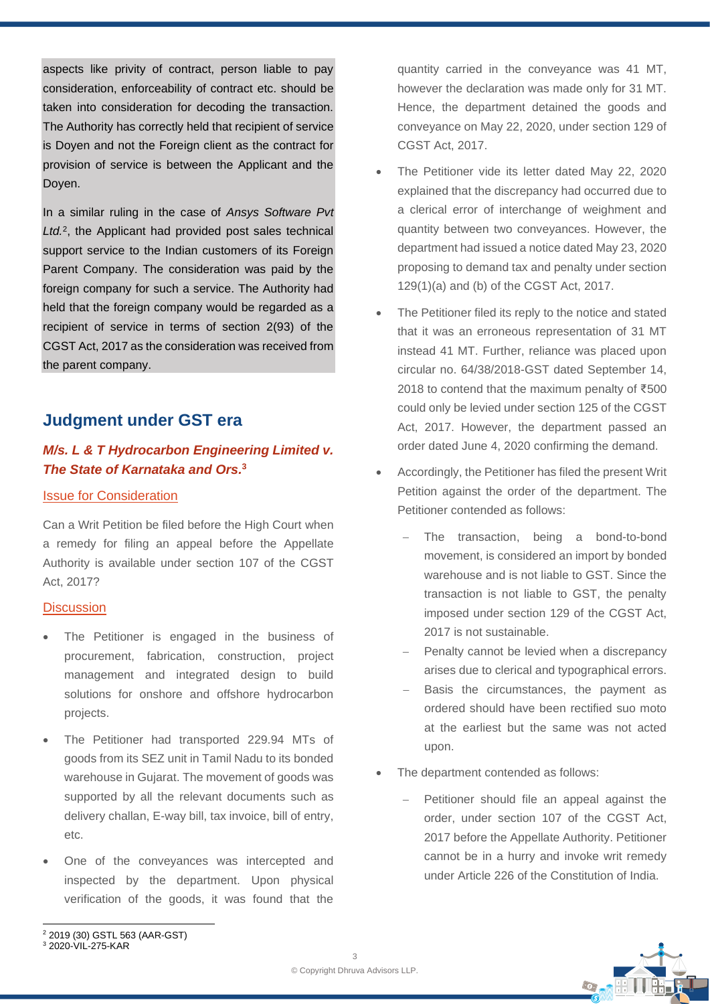aspects like privity of contract, person liable to pay consideration, enforceability of contract etc. should be taken into consideration for decoding the transaction. The Authority has correctly held that recipient of service is Doyen and not the Foreign client as the contract for provision of service is between the Applicant and the Doyen.

In a similar ruling in the case of *Ansys Software Pvt Ltd.*<sup>2</sup> , the Applicant had provided post sales technical support service to the Indian customers of its Foreign Parent Company. The consideration was paid by the foreign company for such a service. The Authority had held that the foreign company would be regarded as a recipient of service in terms of section 2(93) of the CGST Act, 2017 as the consideration was received from the parent company.

# **Judgment under GST era**

## *M/s. L & T Hydrocarbon Engineering Limited v. The State of Karnataka and Ors.* **3**

## Issue for Consideration

Can a Writ Petition be filed before the High Court when a remedy for filing an appeal before the Appellate Authority is available under section 107 of the CGST Act, 2017?

#### **Discussion**

- The Petitioner is engaged in the business of procurement, fabrication, construction, project management and integrated design to build solutions for onshore and offshore hydrocarbon projects.
- The Petitioner had transported 229.94 MTs of goods from its SEZ unit in Tamil Nadu to its bonded warehouse in Gujarat. The movement of goods was supported by all the relevant documents such as delivery challan, E-way bill, tax invoice, bill of entry, etc.
- One of the conveyances was intercepted and inspected by the department. Upon physical verification of the goods, it was found that the

quantity carried in the conveyance was 41 MT, however the declaration was made only for 31 MT. Hence, the department detained the goods and conveyance on May 22, 2020, under section 129 of CGST Act, 2017.

- The Petitioner vide its letter dated May 22, 2020 explained that the discrepancy had occurred due to a clerical error of interchange of weighment and quantity between two conveyances. However, the department had issued a notice dated May 23, 2020 proposing to demand tax and penalty under section 129(1)(a) and (b) of the CGST Act, 2017.
- The Petitioner filed its reply to the notice and stated that it was an erroneous representation of 31 MT instead 41 MT. Further, reliance was placed upon circular no. 64/38/2018-GST dated September 14, 2018 to contend that the maximum penalty of ₹500 could only be levied under section 125 of the CGST Act, 2017. However, the department passed an order dated June 4, 2020 confirming the demand.
- Accordingly, the Petitioner has filed the present Writ Petition against the order of the department. The Petitioner contended as follows:
	- The transaction, being a bond-to-bond movement, is considered an import by bonded warehouse and is not liable to GST. Since the transaction is not liable to GST, the penalty imposed under section 129 of the CGST Act, 2017 is not sustainable.
	- Penalty cannot be levied when a discrepancy arises due to clerical and typographical errors.
	- Basis the circumstances, the payment as ordered should have been rectified suo moto at the earliest but the same was not acted upon.
- The department contended as follows:
	- Petitioner should file an appeal against the order, under section 107 of the CGST Act, 2017 before the Appellate Authority. Petitioner cannot be in a hurry and invoke writ remedy under Article 226 of the Constitution of India.

<sup>2</sup> 2019 (30) GSTL 563 (AAR-GST)

<sup>3</sup> 2020-VIL-275-KAR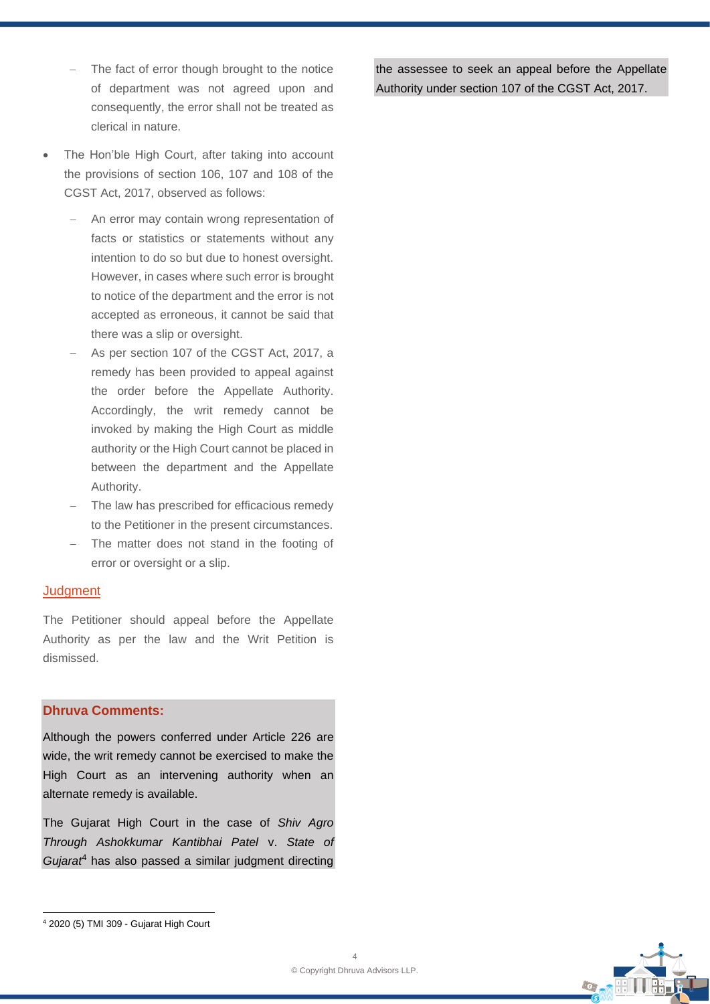- − The fact of error though brought to the notice of department was not agreed upon and consequently, the error shall not be treated as clerical in nature.
- The Hon'ble High Court, after taking into account the provisions of section 106, 107 and 108 of the CGST Act, 2017, observed as follows:
	- An error may contain wrong representation of facts or statistics or statements without any intention to do so but due to honest oversight. However, in cases where such error is brought to notice of the department and the error is not accepted as erroneous, it cannot be said that there was a slip or oversight.
	- As per section 107 of the CGST Act, 2017, a remedy has been provided to appeal against the order before the Appellate Authority. Accordingly, the writ remedy cannot be invoked by making the High Court as middle authority or the High Court cannot be placed in between the department and the Appellate Authority.
	- The law has prescribed for efficacious remedy to the Petitioner in the present circumstances.
	- − The matter does not stand in the footing of error or oversight or a slip.

#### **Judgment**

The Petitioner should appeal before the Appellate Authority as per the law and the Writ Petition is dismissed.

#### **Dhruva Comments:**

Although the powers conferred under Article 226 are wide, the writ remedy cannot be exercised to make the High Court as an intervening authority when an alternate remedy is available.

The Gujarat High Court in the case of *Shiv Agro Through Ashokkumar Kantibhai Patel* v. *State of Gujarat*<sup>4</sup> has also passed a similar judgment directing



the assessee to seek an appeal before the Appellate Authority under section 107 of the CGST Act, 2017.

<sup>4</sup> 2020 (5) TMI 309 - Gujarat High Court